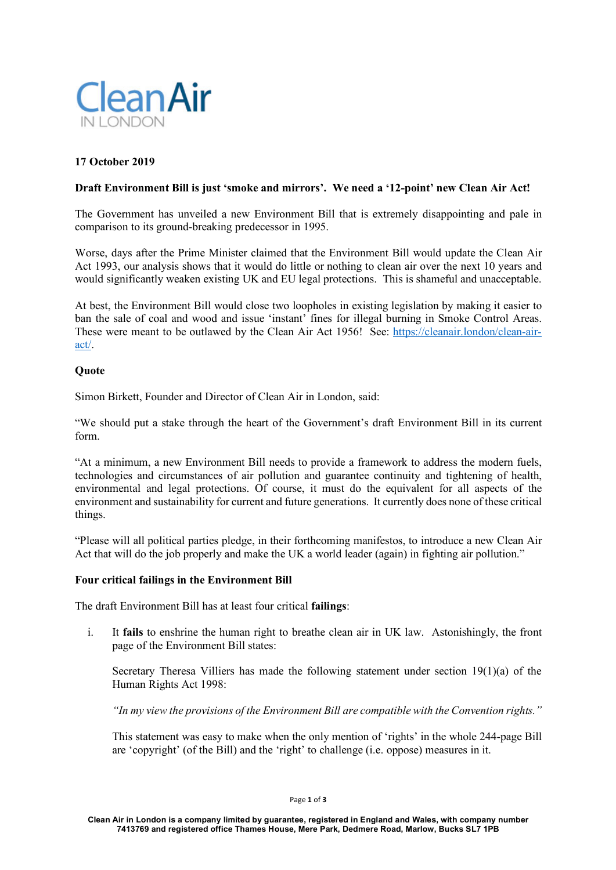

# **17 October 2019**

### **Draft Environment Bill is just 'smoke and mirrors'. We need a '12-point' new Clean Air Act!**

The Government has unveiled a new Environment Bill that is extremely disappointing and pale in comparison to its ground-breaking predecessor in 1995.

Worse, days after the Prime Minister claimed that the Environment Bill would update the Clean Air Act 1993, our analysis shows that it would do little or nothing to clean air over the next 10 years and would significantly weaken existing UK and EU legal protections. This is shameful and unacceptable.

At best, the Environment Bill would close two loopholes in existing legislation by making it easier to ban the sale of coal and wood and issue 'instant' fines for illegal burning in Smoke Control Areas. These were meant to be outlawed by the Clean Air Act 1956! See: https://cleanair.london/clean-airact/.

#### **Quote**

Simon Birkett, Founder and Director of Clean Air in London, said:

"We should put a stake through the heart of the Government's draft Environment Bill in its current form.

"At a minimum, a new Environment Bill needs to provide a framework to address the modern fuels, technologies and circumstances of air pollution and guarantee continuity and tightening of health, environmental and legal protections. Of course, it must do the equivalent for all aspects of the environment and sustainability for current and future generations. It currently does none of these critical things.

"Please will all political parties pledge, in their forthcoming manifestos, to introduce a new Clean Air Act that will do the job properly and make the UK a world leader (again) in fighting air pollution."

#### **Four critical failings in the Environment Bill**

The draft Environment Bill has at least four critical **failings**:

i. It **fails** to enshrine the human right to breathe clean air in UK law. Astonishingly, the front page of the Environment Bill states:

Secretary Theresa Villiers has made the following statement under section 19(1)(a) of the Human Rights Act 1998:

*"In my view the provisions of the Environment Bill are compatible with the Convention rights."*

This statement was easy to make when the only mention of 'rights' in the whole 244-page Bill are 'copyright' (of the Bill) and the 'right' to challenge (i.e. oppose) measures in it.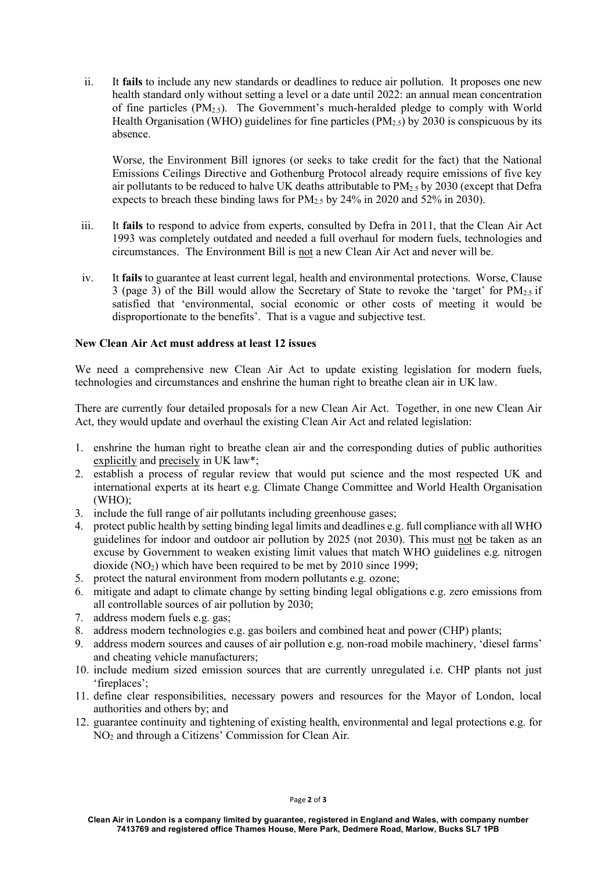ii. It **fails** to include any new standards or deadlines to reduce air pollution. It proposes one new health standard only without setting a level or a date until 2022: an annual mean concentration of fine particles  $(PM_{2.5})$ . The Government's much-heralded pledge to comply with World Health Organisation (WHO) guidelines for fine particles (PM<sub>2.5</sub>) by 2030 is conspicuous by its absence.

Worse, the Environment Bill ignores (or seeks to take credit for the fact) that the National Emissions Ceilings Directive and Gothenburg Protocol already require emissions of five key air pollutants to be reduced to halve UK deaths attributable to  $PM_{2.5}$  by 2030 (except that Defra expects to breach these binding laws for  $PM_{2.5}$  by 24% in 2020 and 52% in 2030).

- iii. It **fails** to respond to advice from experts, consulted by Defra in 2011, that the Clean Air Act 1993 was completely outdated and needed a full overhaul for modern fuels, technologies and circumstances. The Environment Bill is not a new Clean Air Act and never will be.
- iv. It **fails** to guarantee at least current legal, health and environmental protections. Worse, Clause 3 (page 3) of the Bill would allow the Secretary of State to revoke the 'target' for  $PM_2 \, \text{s}$  if satisfied that 'environmental, social economic or other costs of meeting it would be disproportionate to the benefits'. That is a vague and subjective test.

## **New Clean Air Act must address at least 12 issues**

We need a comprehensive new Clean Air Act to update existing legislation for modern fuels, technologies and circumstances and enshrine the human right to breathe clean air in UK law.

There are currently four detailed proposals for a new Clean Air Act. Together, in one new Clean Air Act, they would update and overhaul the existing Clean Air Act and related legislation:

- 1. enshrine the human right to breathe clean air and the corresponding duties of public authorities explicitly and precisely in UK law\*;
- 2. establish a process of regular review that would put science and the most respected UK and international experts at its heart e.g. Climate Change Committee and World Health Organisation  $(WHO)$ ;
- 3. include the full range of air pollutants including greenhouse gases;
- 4. protect public health by setting binding legal limits and deadlines e.g. full compliance with all WHO guidelines for indoor and outdoor air pollution by 2025 (not 2030). This must not be taken as an excuse by Government to weaken existing limit values that match WHO guidelines e.g. nitrogen dioxide  $(NO<sub>2</sub>)$  which have been required to be met by 2010 since 1999;
- 5. protect the natural environment from modern pollutants e.g. ozone;
- 6. mitigate and adapt to climate change by setting binding legal obligations e.g. zero emissions from all controllable sources of air pollution by 2030;
- 7. address modern fuels e.g. gas
- 8. address modern technologies e.g. gas boilers and combined heat and power (CHP) plants;
- 9. address modern sources and causes of air pollution e.g. non-road mobile machinery, 'diesel farms' and cheating vehicle manufacturers;
- 10. include medium sized emission sources that are currently unregulated i.e. CHP plants not just 'fireplaces';
- 11. define clear responsibilities, necessary powers and resources for the Mayor of London, local authorities and others by; and
- 12. guarantee continuity and tightening of existing health, environmental and legal protections e.g. for NO2 and through a Citizens' Commission for Clean Air.